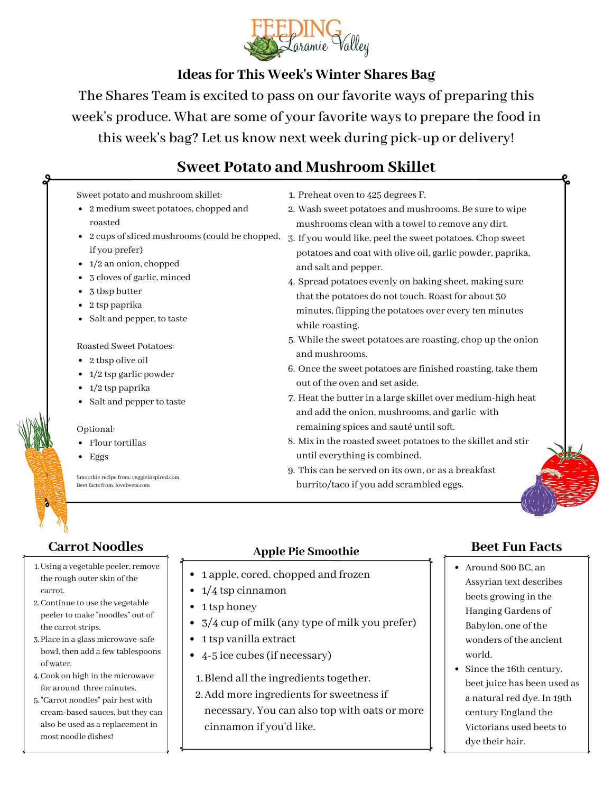

## **Ideas for This Week's Winter Shares Bag**

The Shares Team is excited to pass on our favorite ways of preparing this week's produce. What are some of your favorite ways to prepare the food in this week's bag? Let us know next week during pick-up or delivery!

# **Sweet Potato and Mushroom Skillet**

### Sweet potato and mushroom skillet:

- 2 medium sweet potatoes, chopped and roasted
- if you prefer)
- $\bullet$  1/2 an onion, chopped
- 3 cloves of garlic, minced
- 3 tbsp butter
- 2 tsp paprika
- Salt and pepper, to taste

Roasted Sweet Potatoes:

- 2 tbsp olive oil
- $\cdot$  1/2 tsp garlic powder
- $\bullet$  1/2 tsp paprika
- Salt and pepper to taste

• Flour tortillas Optional:

Eggs

Smoothie recipe from: veggieinspired.com Beet facts from: lovebeets.com

- 1. Preheat oven to 425 degrees F.
- Wash sweet potatoes and mushrooms. Be sure to wipe 2. mushrooms clean with a towel to remove any dirt.
- 2 cups of sliced mushrooms (could be chopped,  $\,$  3. If you would like, peel the sweet potatoes. Chop sweet potatoes and coat with olive oil, garlic powder, paprika, and salt and pepper.
	- Spread potatoes evenly on baking sheet, making sure 4. that the potatoes do not touch. Roast for about 30 minutes, flipping the potatoes over every ten minutes while roasting.
	- While the sweet potatoes are roasting, chop up the onion 5. and mushrooms.
	- 6. Once the sweet potatoes are finished roasting, take them out of the oven and set aside.
	- 7. Heat the butter in a large skillet over medium-high heat and add the onion, mushrooms, and garlic with remaining spices and sauté until soft.
	- Mix in the roasted sweet potatoes to the skillet and stir 8. until everything is combined.
	- This can be served on its own, or as a breakfast 9. burrito/taco if you add scrambled eggs.

- 1. Using a vegetable peeler, remove the rough outer skin of the carrot.
- 2. Continue to use the vegetable peeler to make "noodles" out of the carrot strips.
- 3. Place in a glass microwave-safe bowl, then add a few tablespoons of water.
- Cook on high in the microwave 4. for around three minutes.
- 5. "Carrot noodles" pair best with cream-based sauces, but they can also be used as a replacement in most noodle dishes!

# **Carrot Noodles Apple Pie Smoothie**

- 1 apple, cored, chopped and frozen
- $\cdot$  1/4 tsp cinnamon
- 1 tsp honey
- 3/4 cup of milk (any type of milk you prefer)
- 1 tsp vanilla extract
- 4-5 ice cubes (if necessary)
	- 1. Blend all the ingredients together.
	- 2. Add more ingredients for sweetness if necessary. You can also top with oats or more cinnamon if you'd like.

## **Beet Fun Facts**

- Around 800 BC, an Assyrian text describes beets growing in the Hanging Gardens of Babylon, one of the wonders of the ancient world.
- Since the 16th century, beet juice has been used as a natural red dye. In 19th century England the Victorians used beets to dye their hair.